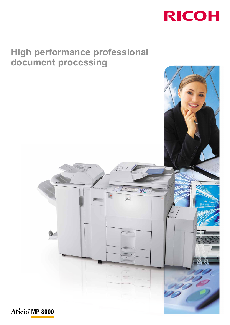

# **High performance professional document processing**

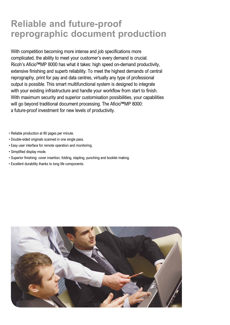# **Reliable and future-proof reprographic document production**

With competition becoming more intense and job specifications more complicated, the ability to meet your customer's every demand is crucial. Ricoh's Aficio™MP 8000 has what it takes: high speed on-demand productivity, extensive finishing and superb reliability. To meet the highest demands of central reprography, print for pay and data centres, virtually any type of professional output is possible. This smart multifunctional system is designed to integrate with your existing infrastructure and handle your workflow from start to finish. With maximum security and superior customisation possibilities, your capabilities will go beyond traditional document processing. The Aficio™MP 8000: a future-proof investment for new levels of productivity.

• Reliable production at 80 pages per minute.

- Double-sided originals scanned in one single pass.
- Easy user interface for remote operation and monitoring.
- Simplified display mode.
- Superior finishing: cover insertion, folding, stapling, punching and booklet making.
- Excellent durability thanks to long life components.

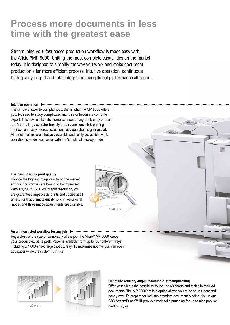# **Process more documents in less time with the greatest ease**

Streamlining your fast paced production workflow is made easy with the Aficio™MP 8000. Uniting the most complete capabilities on the market today, it is designed to simplify the way you work and make document production a far more efficient process. Intuitive operation, continuous high quality output and total integration: exceptional performance all round.

## **Intuitive operation**

The simple answer to complex jobs: that is what the MP 8000 offers you. No need to study complicated manuals or become a computer expert. This device takes the complexity out of any print, copy or scan job. Via the large operator friendly touch panel, one click printing interface and easy address selection, easy operation is guaranteed. All functionalities are intuitively available and easily accessible, while operation is made even easier with the 'simplified' display mode.

### **The best possible print quality**

Provide the highest image quality on the market and your customers are bound to be impressed. With a 1,200 x 1,200 dpi output resolution, you are guaranteed impeccable prints and copies at all times. For that ultimate quality touch, five original modes and three image adjustments are available.



**An uninterrupted workflow for any job** Regardless of the size or complexity of the job, the Aficio™MP 8000 keeps your productivity at its peak. Paper is available from up to four different trays, including a 4,000-sheet large capacity tray. To maximise uptime, you can even add paper while the system is in use.



**A3** chart



#### **Out of the ordinary output: z-folding & streampunching**

Offer your clients the possibility to include A3 charts and tables in their A4 documents. The MP 8000's z-fold option allows you to do so in a neat and handy way. To prepare for industry standard document binding, the unique GBC StreamPunch™ III provides rock solid punching for up to nine popular binding styles.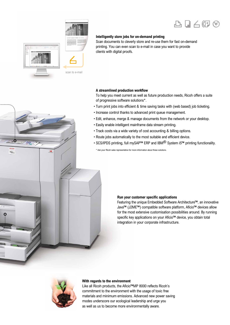



 $\alpha$ 

Aficio

## **Intelligently store jobs for on-demand printing**

Scan documents to cleverly store and re-use them for fast on-demand printing. You can even scan to e-mail in case you want to provide clients with digital proofs.

### **A streamlined production workflow**

To help you meet current as well as future production needs, Ricoh offers a suite of progressive software solutions\*.

- Turn print jobs into efficient & time saving tasks with (web based) job ticketing.
- Increase control thanks to advanced print queue management.
- Edit, enhance, merge & manage documents from the network or your desktop.
- Easily enable intelligent mainframe data stream printing.
- Track costs via a wide variety of cost accounting & billing options.
- Route jobs automatically to the most suitable and efficient device.
- SCS/IPDS printing, full mySAP<sup>™</sup> ERP and IBM<sup>®</sup> System i5™ printing functionality.

\* Ask your Ricoh sales representative for more information about these solutions.

#### **Run your customer specific applications**

Featuring the unique Embedded Software Architecture™, an innovative Java™ (J2ME™) compatible software platform, Aficio™ devices allow for the most extensive customisation possibilities around. By running specific key applications on your Aficio™ device, you obtain total integration in your corporate infrastructure.



### **With regards to the environment**

Like all Ricoh products, the Aficio™MP 8000 reflects Ricoh's commitment to the environment with the usage of toxic free materials and minimum emissions. Advanced new power saving modes underscore our ecological leadership and urge you as well as us to become more environmentally aware.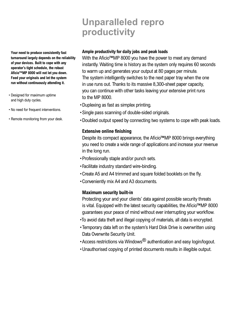# **Unparalleled repro productivity**

**Your need to produce consistently fast turnaround largely depends on the reliability of your devices. Built to cope with any operator's tight schedule, the robust Aficio™MP 8000 will not let you down. Feed your originals and let the system run without continuously attending it.**

- Designed for maximum uptime and high duty cycles.
- No need for frequent interventions.
- Remote monitoring from your desk.

## **Ample productivity for daily jobs and peak loads**

With the Aficio™MP 8000 you have the power to meet any demand instantly. Waiting time is history as the system only requires 60 seconds to warm up and generates your output at 80 pages per minute. The system intelligently switches to the next paper tray when the one in use runs out. Thanks to its massive 8,300-sheet paper capacity, you can continue with other tasks leaving your extensive print runs to the MP 8000.

- Duplexing as fast as simplex printing.
- Single pass scanning of double-sided originals.
- Doubled output speed by connecting two systems to cope with peak loads.

## **Extensive online finishing**

Despite its compact appearance, the Aficio™MP 8000 brings everything you need to create a wide range of applications and increase your revenue in the long run.

- Professionally staple and/or punch sets.
- Facilitate industry standard wire-binding.
- Create A5 and A4 trimmed and square folded booklets on the fly.
- Conveniently mix A4 and A3 documents.

## **Maximum security built-in**

Protecting your and your clients' data against possible security threats is vital. Equipped with the latest security capabilities, the Aficio™MP 8000 guarantees your peace of mind without ever interrupting your workflow.

- •To avoid data theft and illegal copying of materials, all data is encrypted.
- Temporary data left on the system's Hard Disk Drive is overwritten using Data Overwrite Security Unit.
- Access restrictions via Windows® authentication and easy login/logout.
- Unauthorised copying of printed documents results in illegible output.